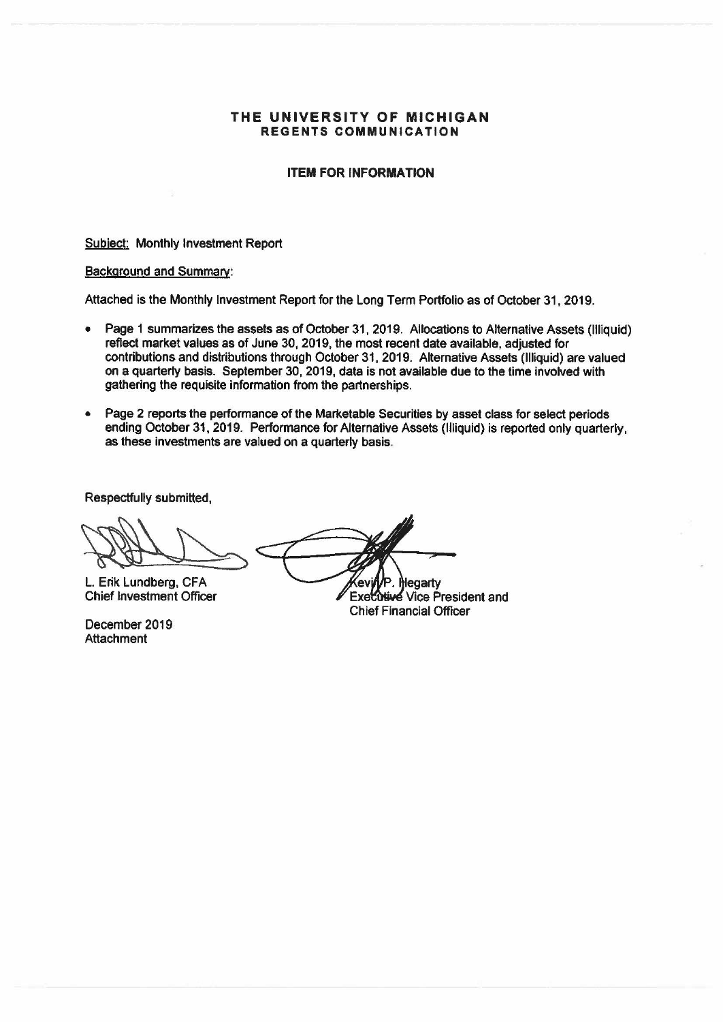### **Received by the Regents December 5, 2019**

#### **THE UNIVERSITY OF MICHIGAN REGENTS COMMUNICATION**

#### **ITEM FOR INFORMATION**

Subject: Monthly Investment Report

#### Background and Summary:

Attached is the Monthly Investment Report for the Long Term Portfolio as of October 31, 2019.

- Page 1 summarizes the assets as of October 31, 2019. Allocations to Alternative Assets (Illiquid) reflect market values as of June 30, 2019, the most recent date available, adjusted for contributions and distributions through October 31, 2019. Alternative Assets (Illiquid) are valued on a quarterly **basis.** September 30, 2019, data is not available due to the time involved with gathering the requisite information from the partnerships.
- Page 2 reports the performance of the Marketable Securities by asset class for select periods ending October 31, 2019. Performance for Alternative Assets (Illiquid) is reported only quarterly, as these investments are valued on a quarterly basis.

Respectfully submitted,

L. Erik Lundberg, CFA ev

Chief Investment Officer

December 2019 **Attachment** 

**Hegarty Executive Vice President and** Chief Financial Officer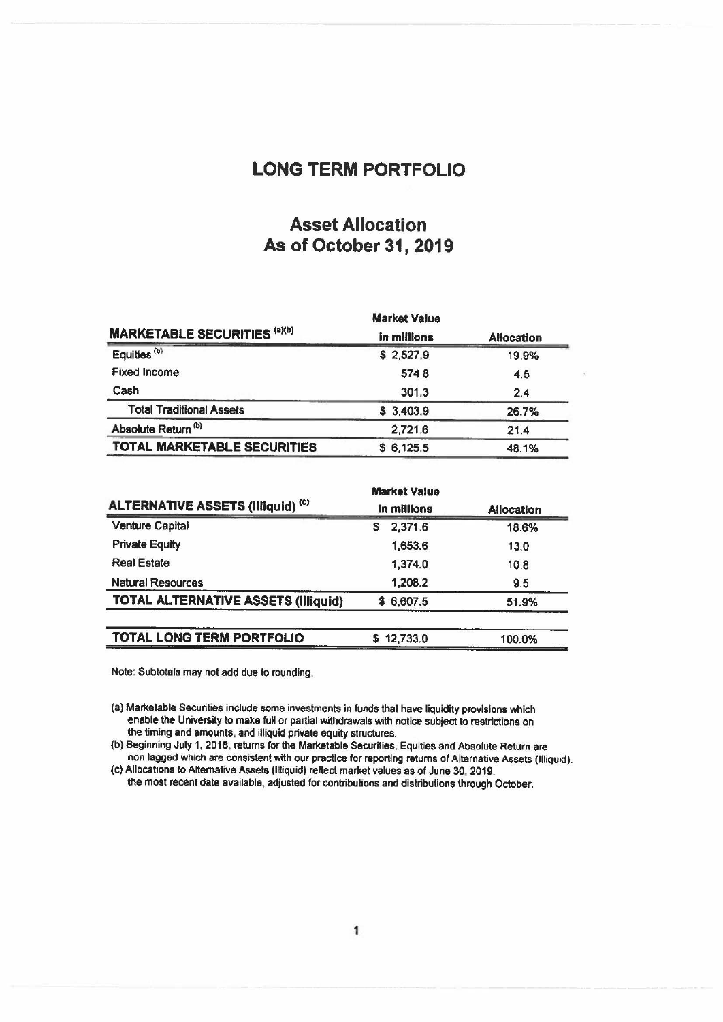## LONG TERM PORTFOLIO

## Asset Allocation As of October 31, 2019

|                                     | <b>Market Value</b> | <b>Allocation</b><br>19.9% |  |
|-------------------------------------|---------------------|----------------------------|--|
| <b>MARKETABLE SECURITIES (a)(b)</b> | in millions         |                            |  |
| Equities <sup>(b)</sup>             | \$2,527.9           |                            |  |
| <b>Fixed Income</b>                 | 574.8               | 4.5                        |  |
| Cash                                | 301.3               | 2.4                        |  |
| <b>Total Traditional Assets</b>     | \$3,403.9           | 26.7%                      |  |
| Absolute Return <sup>(b)</sup>      | 2,721.6             | 21.4                       |  |
| <b>TOTAL MARKETABLE SECURITIES</b>  | \$6,125.5           | 48.1%                      |  |

|                                            | <b>Market Value</b> |                   |  |
|--------------------------------------------|---------------------|-------------------|--|
| <b>ALTERNATIVE ASSETS (Illiquid) (c)</b>   | in millions         | <b>Allocation</b> |  |
| <b>Venture Capital</b>                     | 2,371.6<br>S        | 18.6%             |  |
| <b>Private Equity</b>                      | 1,653.6             | 13.0              |  |
| <b>Real Estate</b>                         | 1,374.0             | 10.8              |  |
| <b>Natural Resources</b>                   | 1,208.2             | 9.5               |  |
| <b>TOTAL ALTERNATIVE ASSETS (Illiquid)</b> | \$6,607.5           | 51.9%             |  |
| <b>TOTAL LONG TERM PORTFOLIO</b>           | 12,733.0<br>S       | 100.0%            |  |

Note: Subtotals may not add due to rounding.

(a) Marketable Securities include some investments in funds that have liquidity provisions which enable the University to make full or partial withdrawals with notice subject to restrictions on the timing and amounts, and illiquid private equity structures.

(b) Beginning July 1, 2018, returns for the Marketable Securities, Equities and Absolute Return are non lagged which are consistent with our practice for reporting returns of Alternative Assets (Illiquid).

(c) Allocations to Alternative Assets (Illiquid) reflect market values as of June 30, 2019, the most recent date available, adjusted for contributions and distributions through October.